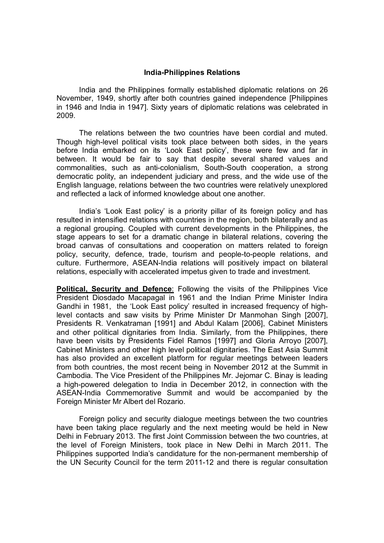## **India-Philippines Relations**

India and the Philippines formally established diplomatic relations on 26 November, 1949, shortly after both countries gained independence [Philippines in 1946 and India in 1947]. Sixty years of diplomatic relations was celebrated in 2009.

The relations between the two countries have been cordial and muted. Though high-level political visits took place between both sides, in the years before India embarked on its 'Look East policy', these were few and far in between. It would be fair to say that despite several shared values and commonalities, such as anti-colonialism, South-South cooperation, a strong democratic polity, an independent judiciary and press, and the wide use of the English language, relations between the two countries were relatively unexplored and reflected a lack of informed knowledge about one another.

India's 'Look East policy' is a priority pillar of its foreign policy and has resulted in intensified relations with countries in the region, both bilaterally and as a regional grouping. Coupled with current developments in the Philippines, the stage appears to set for a dramatic change in bilateral relations, covering the broad canvas of consultations and cooperation on matters related to foreign policy, security, defence, trade, tourism and people-to-people relations, and culture. Furthermore, ASEAN-India relations will positively impact on bilateral relations, especially with accelerated impetus given to trade and investment.

**Political, Security and Defence:** Following the visits of the Philippines Vice President Diosdado Macapagal in 1961 and the Indian Prime Minister Indira Gandhi in 1981, the 'Look East policy' resulted in increased frequency of highlevel contacts and saw visits by Prime Minister Dr Manmohan Singh [2007], Presidents R. Venkatraman [1991] and Abdul Kalam [2006], Cabinet Ministers and other political dignitaries from India. Similarly, from the Philippines, there have been visits by Presidents Fidel Ramos [1997] and Gloria Arroyo [2007], Cabinet Ministers and other high level political dignitaries. The East Asia Summit has also provided an excellent platform for regular meetings between leaders from both countries, the most recent being in November 2012 at the Summit in Cambodia. The Vice President of the Philippines Mr. Jejomar C. Binay is leading a high-powered delegation to India in December 2012, in connection with the ASEAN-India Commemorative Summit and would be accompanied by the Foreign Minister Mr Albert del Rozario.

Foreign policy and security dialogue meetings between the two countries have been taking place regularly and the next meeting would be held in New Delhi in February 2013. The first Joint Commission between the two countries, at the level of Foreign Ministers, took place in New Delhi in March 2011. The Philippines supported India's candidature for the non-permanent membership of the UN Security Council for the term 2011-12 and there is regular consultation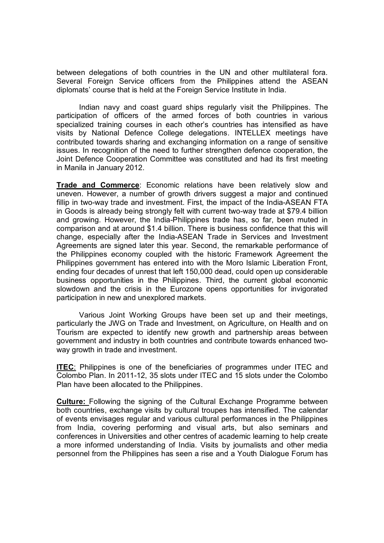between delegations of both countries in the UN and other multilateral fora. Several Foreign Service officers from the Philippines attend the ASEAN diplomats' course that is held at the Foreign Service Institute in India.

Indian navy and coast guard ships regularly visit the Philippines. The participation of officers of the armed forces of both countries in various specialized training courses in each other's countries has intensified as have visits by National Defence College delegations. INTELLEX meetings have contributed towards sharing and exchanging information on a range of sensitive issues. In recognition of the need to further strengthen defence cooperation, the Joint Defence Cooperation Committee was constituted and had its first meeting in Manila in January 2012.

**Trade and Commerce**: Economic relations have been relatively slow and uneven. However, a number of growth drivers suggest a major and continued fillip in two-way trade and investment. First, the impact of the India-ASEAN FTA in Goods is already being strongly felt with current two-way trade at \$79.4 billion and growing. However, the India-Philippines trade has, so far, been muted in comparison and at around \$1.4 billion. There is business confidence that this will change, especially after the India-ASEAN Trade in Services and Investment Agreements are signed later this year. Second, the remarkable performance of the Philippines economy coupled with the historic Framework Agreement the Philippines government has entered into with the Moro Islamic Liberation Front, ending four decades of unrest that left 150,000 dead, could open up considerable business opportunities in the Philippines. Third, the current global economic slowdown and the crisis in the Eurozone opens opportunities for invigorated participation in new and unexplored markets.

Various Joint Working Groups have been set up and their meetings, particularly the JWG on Trade and Investment, on Agriculture, on Health and on Tourism are expected to identify new growth and partnership areas between government and industry in both countries and contribute towards enhanced twoway growth in trade and investment.

**ITEC**: Philippines is one of the beneficiaries of programmes under ITEC and Colombo Plan. In 2011-12, 35 slots under ITEC and 15 slots under the Colombo Plan have been allocated to the Philippines.

**Culture:** Following the signing of the Cultural Exchange Programme between both countries, exchange visits by cultural troupes has intensified. The calendar of events envisages regular and various cultural performances in the Philippines from India, covering performing and visual arts, but also seminars and conferences in Universities and other centres of academic learning to help create a more informed understanding of India. Visits by journalists and other media personnel from the Philippines has seen a rise and a Youth Dialogue Forum has